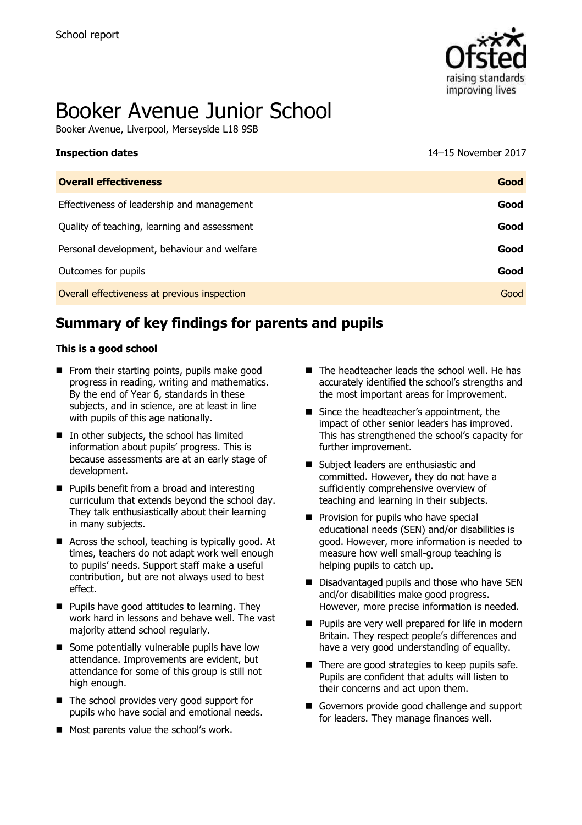**Inspection dates** 



# Booker Avenue Junior School

Booker Avenue, Liverpool, Merseyside L18 9SB

| 14-15 November 2017 |  |  |  |
|---------------------|--|--|--|
|---------------------|--|--|--|

| <b>Overall effectiveness</b>                 | Good |
|----------------------------------------------|------|
| Effectiveness of leadership and management   | Good |
| Quality of teaching, learning and assessment | Good |
| Personal development, behaviour and welfare  | Good |
| Outcomes for pupils                          | Good |
| Overall effectiveness at previous inspection | Good |

# **Summary of key findings for parents and pupils**

#### **This is a good school**

- $\blacksquare$  From their starting points, pupils make good progress in reading, writing and mathematics. By the end of Year 6, standards in these subjects, and in science, are at least in line with pupils of this age nationally.
- $\blacksquare$  In other subjects, the school has limited information about pupils' progress. This is because assessments are at an early stage of development.
- **Pupils benefit from a broad and interesting** curriculum that extends beyond the school day. They talk enthusiastically about their learning in many subjects.
- Across the school, teaching is typically good. At times, teachers do not adapt work well enough to pupils' needs. Support staff make a useful contribution, but are not always used to best effect.
- $\blacksquare$  Pupils have good attitudes to learning. They work hard in lessons and behave well. The vast majority attend school regularly.
- Some potentially vulnerable pupils have low attendance. Improvements are evident, but attendance for some of this group is still not high enough.
- The school provides very good support for pupils who have social and emotional needs.
- **Most parents value the school's work.**
- $\blacksquare$  The headteacher leads the school well. He has accurately identified the school's strengths and the most important areas for improvement.
- Since the headteacher's appointment, the impact of other senior leaders has improved. This has strengthened the school's capacity for further improvement.
- Subject leaders are enthusiastic and committed. However, they do not have a sufficiently comprehensive overview of teaching and learning in their subjects.
- **Provision for pupils who have special** educational needs (SEN) and/or disabilities is good. However, more information is needed to measure how well small-group teaching is helping pupils to catch up.
- Disadvantaged pupils and those who have SEN and/or disabilities make good progress. However, more precise information is needed.
- **Pupils are very well prepared for life in modern** Britain. They respect people's differences and have a very good understanding of equality.
- $\blacksquare$  There are good strategies to keep pupils safe. Pupils are confident that adults will listen to their concerns and act upon them.
- Governors provide good challenge and support for leaders. They manage finances well.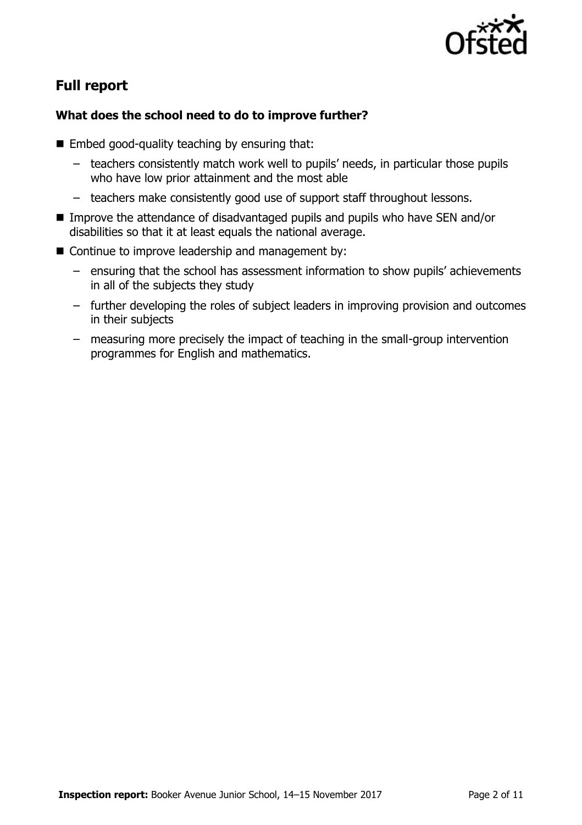

# **Full report**

#### **What does the school need to do to improve further?**

- $\blacksquare$  Embed good-quality teaching by ensuring that:
	- teachers consistently match work well to pupils' needs, in particular those pupils who have low prior attainment and the most able
	- teachers make consistently good use of support staff throughout lessons.
- Improve the attendance of disadvantaged pupils and pupils who have SEN and/or disabilities so that it at least equals the national average.
- Continue to improve leadership and management by:
	- ensuring that the school has assessment information to show pupils' achievements in all of the subjects they study
	- further developing the roles of subject leaders in improving provision and outcomes in their subjects
	- measuring more precisely the impact of teaching in the small-group intervention programmes for English and mathematics.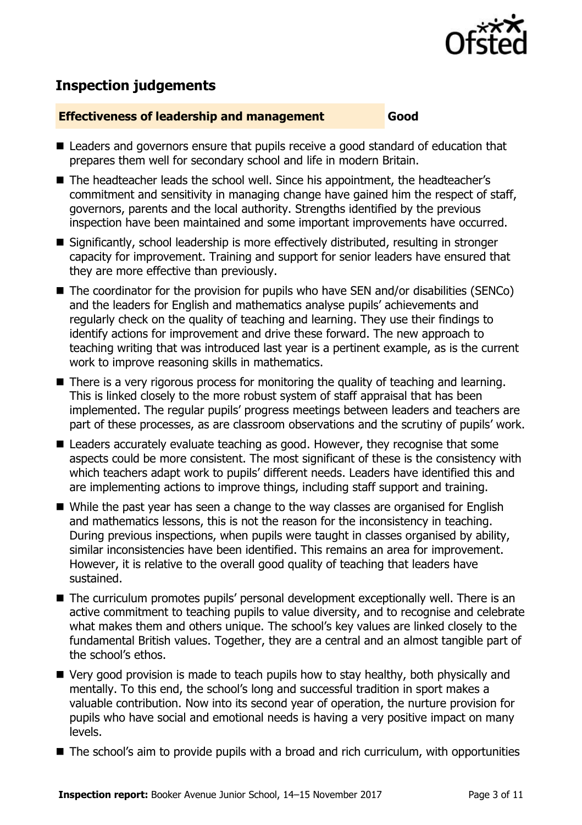

# **Inspection judgements**

#### **Effectiveness of leadership and management Good**

- Leaders and governors ensure that pupils receive a good standard of education that prepares them well for secondary school and life in modern Britain.
- The headteacher leads the school well. Since his appointment, the headteacher's commitment and sensitivity in managing change have gained him the respect of staff, governors, parents and the local authority. Strengths identified by the previous inspection have been maintained and some important improvements have occurred.
- Significantly, school leadership is more effectively distributed, resulting in stronger capacity for improvement. Training and support for senior leaders have ensured that they are more effective than previously.
- The coordinator for the provision for pupils who have SEN and/or disabilities (SENCo) and the leaders for English and mathematics analyse pupils' achievements and regularly check on the quality of teaching and learning. They use their findings to identify actions for improvement and drive these forward. The new approach to teaching writing that was introduced last year is a pertinent example, as is the current work to improve reasoning skills in mathematics.
- There is a very rigorous process for monitoring the quality of teaching and learning. This is linked closely to the more robust system of staff appraisal that has been implemented. The regular pupils' progress meetings between leaders and teachers are part of these processes, as are classroom observations and the scrutiny of pupils' work.
- Leaders accurately evaluate teaching as good. However, they recognise that some aspects could be more consistent. The most significant of these is the consistency with which teachers adapt work to pupils' different needs. Leaders have identified this and are implementing actions to improve things, including staff support and training.
- While the past year has seen a change to the way classes are organised for English and mathematics lessons, this is not the reason for the inconsistency in teaching. During previous inspections, when pupils were taught in classes organised by ability, similar inconsistencies have been identified. This remains an area for improvement. However, it is relative to the overall good quality of teaching that leaders have sustained.
- The curriculum promotes pupils' personal development exceptionally well. There is an active commitment to teaching pupils to value diversity, and to recognise and celebrate what makes them and others unique. The school's key values are linked closely to the fundamental British values. Together, they are a central and an almost tangible part of the school's ethos.
- Very good provision is made to teach pupils how to stay healthy, both physically and mentally. To this end, the school's long and successful tradition in sport makes a valuable contribution. Now into its second year of operation, the nurture provision for pupils who have social and emotional needs is having a very positive impact on many levels.
- The school's aim to provide pupils with a broad and rich curriculum, with opportunities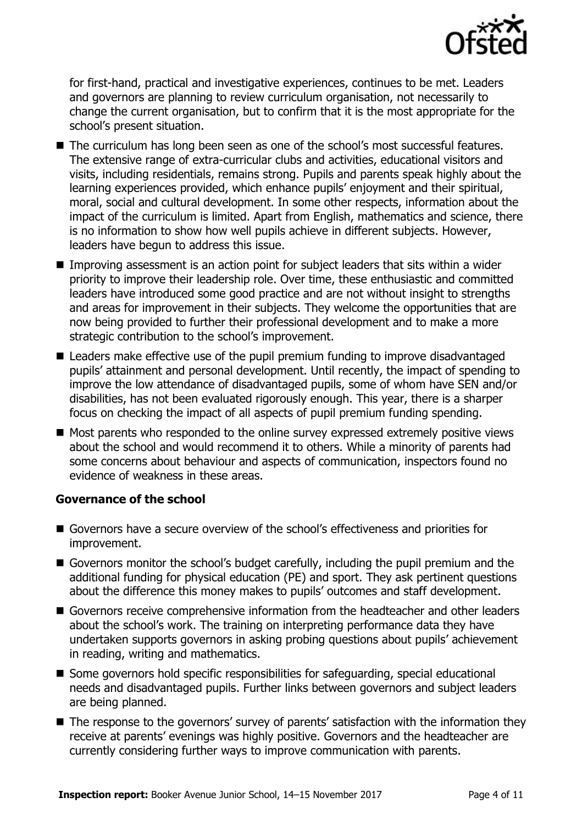

for first-hand, practical and investigative experiences, continues to be met. Leaders and governors are planning to review curriculum organisation, not necessarily to change the current organisation, but to confirm that it is the most appropriate for the school's present situation.

- The curriculum has long been seen as one of the school's most successful features. The extensive range of extra-curricular clubs and activities, educational visitors and visits, including residentials, remains strong. Pupils and parents speak highly about the learning experiences provided, which enhance pupils' enjoyment and their spiritual, moral, social and cultural development. In some other respects, information about the impact of the curriculum is limited. Apart from English, mathematics and science, there is no information to show how well pupils achieve in different subjects. However, leaders have begun to address this issue.
- **IMPROPI** Improving assessment is an action point for subject leaders that sits within a wider priority to improve their leadership role. Over time, these enthusiastic and committed leaders have introduced some good practice and are not without insight to strengths and areas for improvement in their subjects. They welcome the opportunities that are now being provided to further their professional development and to make a more strategic contribution to the school's improvement.
- Leaders make effective use of the pupil premium funding to improve disadvantaged pupils' attainment and personal development. Until recently, the impact of spending to improve the low attendance of disadvantaged pupils, some of whom have SEN and/or disabilities, has not been evaluated rigorously enough. This year, there is a sharper focus on checking the impact of all aspects of pupil premium funding spending.
- Most parents who responded to the online survey expressed extremely positive views about the school and would recommend it to others. While a minority of parents had some concerns about behaviour and aspects of communication, inspectors found no evidence of weakness in these areas.

#### **Governance of the school**

- Governors have a secure overview of the school's effectiveness and priorities for improvement.
- Governors monitor the school's budget carefully, including the pupil premium and the additional funding for physical education (PE) and sport. They ask pertinent questions about the difference this money makes to pupils' outcomes and staff development.
- Governors receive comprehensive information from the headteacher and other leaders about the school's work. The training on interpreting performance data they have undertaken supports governors in asking probing questions about pupils' achievement in reading, writing and mathematics.
- Some governors hold specific responsibilities for safeguarding, special educational needs and disadvantaged pupils. Further links between governors and subject leaders are being planned.
- The response to the governors' survey of parents' satisfaction with the information they receive at parents' evenings was highly positive. Governors and the headteacher are currently considering further ways to improve communication with parents.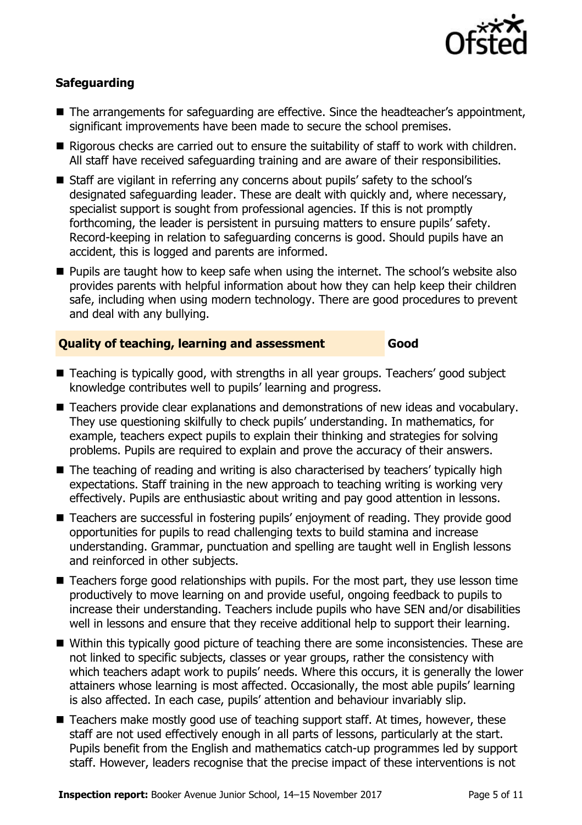

### **Safeguarding**

- The arrangements for safeguarding are effective. Since the headteacher's appointment, significant improvements have been made to secure the school premises.
- Rigorous checks are carried out to ensure the suitability of staff to work with children. All staff have received safeguarding training and are aware of their responsibilities.
- Staff are vigilant in referring any concerns about pupils' safety to the school's designated safeguarding leader. These are dealt with quickly and, where necessary, specialist support is sought from professional agencies. If this is not promptly forthcoming, the leader is persistent in pursuing matters to ensure pupils' safety. Record-keeping in relation to safeguarding concerns is good. Should pupils have an accident, this is logged and parents are informed.
- **Pupils are taught how to keep safe when using the internet. The school's website also** provides parents with helpful information about how they can help keep their children safe, including when using modern technology. There are good procedures to prevent and deal with any bullying.

#### **Quality of teaching, learning and assessment Good**

- Teaching is typically good, with strengths in all year groups. Teachers' good subject knowledge contributes well to pupils' learning and progress.
- Teachers provide clear explanations and demonstrations of new ideas and vocabulary. They use questioning skilfully to check pupils' understanding. In mathematics, for example, teachers expect pupils to explain their thinking and strategies for solving problems. Pupils are required to explain and prove the accuracy of their answers.
- The teaching of reading and writing is also characterised by teachers' typically high expectations. Staff training in the new approach to teaching writing is working very effectively. Pupils are enthusiastic about writing and pay good attention in lessons.
- Teachers are successful in fostering pupils' enjoyment of reading. They provide good opportunities for pupils to read challenging texts to build stamina and increase understanding. Grammar, punctuation and spelling are taught well in English lessons and reinforced in other subjects.
- Teachers forge good relationships with pupils. For the most part, they use lesson time productively to move learning on and provide useful, ongoing feedback to pupils to increase their understanding. Teachers include pupils who have SEN and/or disabilities well in lessons and ensure that they receive additional help to support their learning.
- Within this typically good picture of teaching there are some inconsistencies. These are not linked to specific subjects, classes or year groups, rather the consistency with which teachers adapt work to pupils' needs. Where this occurs, it is generally the lower attainers whose learning is most affected. Occasionally, the most able pupils' learning is also affected. In each case, pupils' attention and behaviour invariably slip.
- Teachers make mostly good use of teaching support staff. At times, however, these staff are not used effectively enough in all parts of lessons, particularly at the start. Pupils benefit from the English and mathematics catch-up programmes led by support staff. However, leaders recognise that the precise impact of these interventions is not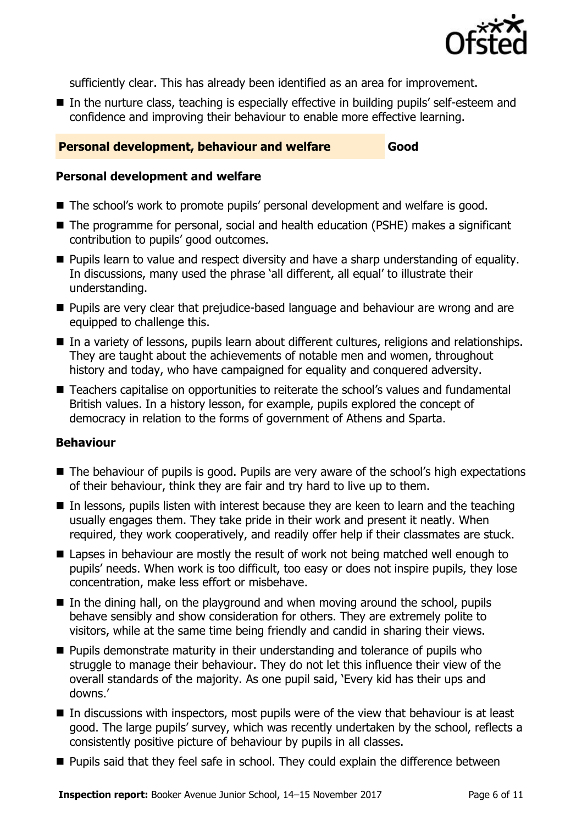

sufficiently clear. This has already been identified as an area for improvement.

■ In the nurture class, teaching is especially effective in building pupils' self-esteem and confidence and improving their behaviour to enable more effective learning.

#### **Personal development, behaviour and welfare Good**

#### **Personal development and welfare**

- The school's work to promote pupils' personal development and welfare is good.
- The programme for personal, social and health education (PSHE) makes a significant contribution to pupils' good outcomes.
- **Pupils learn to value and respect diversity and have a sharp understanding of equality.** In discussions, many used the phrase 'all different, all equal' to illustrate their understanding.
- **Pupils are very clear that prejudice-based language and behaviour are wrong and are** equipped to challenge this.
- In a variety of lessons, pupils learn about different cultures, religions and relationships. They are taught about the achievements of notable men and women, throughout history and today, who have campaigned for equality and conquered adversity.
- Teachers capitalise on opportunities to reiterate the school's values and fundamental British values. In a history lesson, for example, pupils explored the concept of democracy in relation to the forms of government of Athens and Sparta.

#### **Behaviour**

- The behaviour of pupils is good. Pupils are very aware of the school's high expectations of their behaviour, think they are fair and try hard to live up to them.
- In lessons, pupils listen with interest because they are keen to learn and the teaching usually engages them. They take pride in their work and present it neatly. When required, they work cooperatively, and readily offer help if their classmates are stuck.
- Lapses in behaviour are mostly the result of work not being matched well enough to pupils' needs. When work is too difficult, too easy or does not inspire pupils, they lose concentration, make less effort or misbehave.
- $\blacksquare$  In the dining hall, on the playground and when moving around the school, pupils behave sensibly and show consideration for others. They are extremely polite to visitors, while at the same time being friendly and candid in sharing their views.
- **Pupils demonstrate maturity in their understanding and tolerance of pupils who** struggle to manage their behaviour. They do not let this influence their view of the overall standards of the majority. As one pupil said, 'Every kid has their ups and downs.'
- In discussions with inspectors, most pupils were of the view that behaviour is at least good. The large pupils' survey, which was recently undertaken by the school, reflects a consistently positive picture of behaviour by pupils in all classes.
- **Pupils said that they feel safe in school. They could explain the difference between**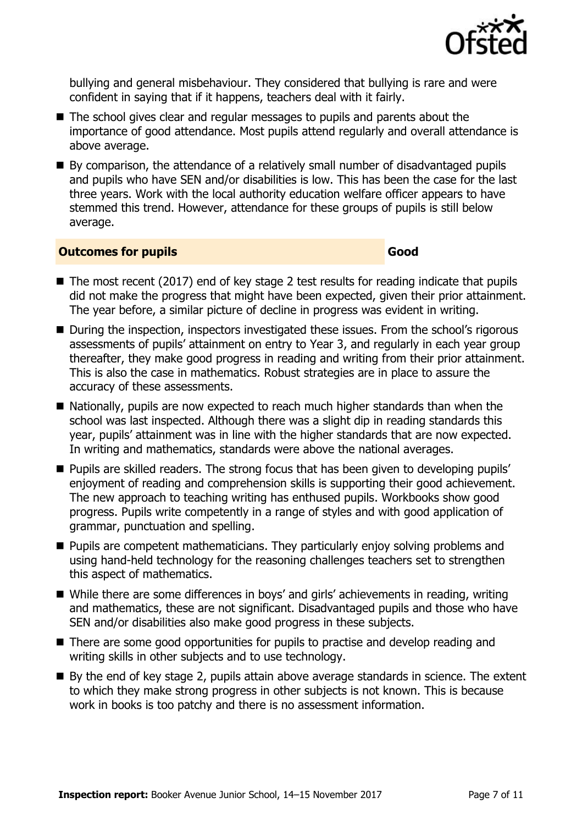

bullying and general misbehaviour. They considered that bullying is rare and were confident in saying that if it happens, teachers deal with it fairly.

- The school gives clear and regular messages to pupils and parents about the importance of good attendance. Most pupils attend regularly and overall attendance is above average.
- By comparison, the attendance of a relatively small number of disadvantaged pupils and pupils who have SEN and/or disabilities is low. This has been the case for the last three years. Work with the local authority education welfare officer appears to have stemmed this trend. However, attendance for these groups of pupils is still below average.

#### **Outcomes for pupils Good Good**

- $\blacksquare$  The most recent (2017) end of key stage 2 test results for reading indicate that pupils did not make the progress that might have been expected, given their prior attainment. The year before, a similar picture of decline in progress was evident in writing.
- During the inspection, inspectors investigated these issues. From the school's rigorous assessments of pupils' attainment on entry to Year 3, and regularly in each year group thereafter, they make good progress in reading and writing from their prior attainment. This is also the case in mathematics. Robust strategies are in place to assure the accuracy of these assessments.
- Nationally, pupils are now expected to reach much higher standards than when the school was last inspected. Although there was a slight dip in reading standards this year, pupils' attainment was in line with the higher standards that are now expected. In writing and mathematics, standards were above the national averages.
- **Pupils are skilled readers. The strong focus that has been given to developing pupils'** enjoyment of reading and comprehension skills is supporting their good achievement. The new approach to teaching writing has enthused pupils. Workbooks show good progress. Pupils write competently in a range of styles and with good application of grammar, punctuation and spelling.
- **Pupils are competent mathematicians. They particularly enjoy solving problems and** using hand-held technology for the reasoning challenges teachers set to strengthen this aspect of mathematics.
- While there are some differences in boys' and girls' achievements in reading, writing and mathematics, these are not significant. Disadvantaged pupils and those who have SEN and/or disabilities also make good progress in these subjects.
- There are some good opportunities for pupils to practise and develop reading and writing skills in other subjects and to use technology.
- By the end of key stage 2, pupils attain above average standards in science. The extent to which they make strong progress in other subjects is not known. This is because work in books is too patchy and there is no assessment information.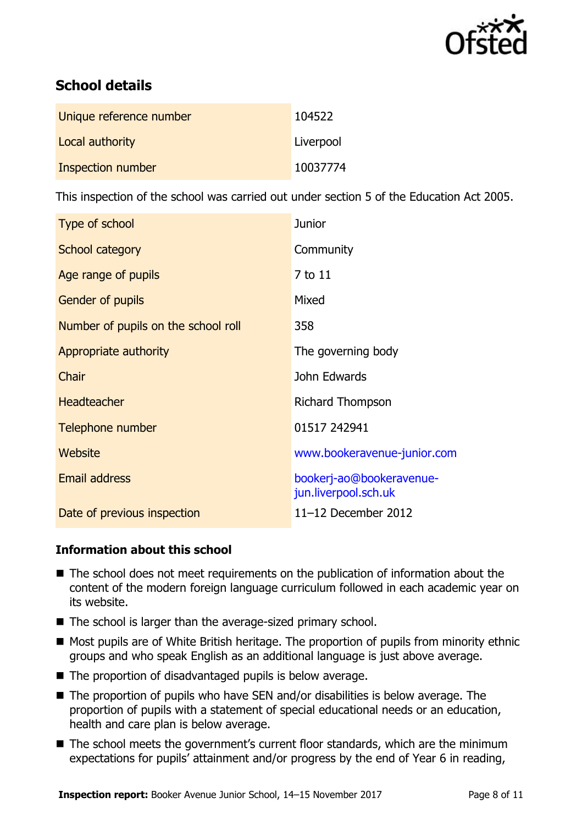

# **School details**

| Unique reference number | 104522    |
|-------------------------|-----------|
| Local authority         | Liverpool |
| Inspection number       | 10037774  |

This inspection of the school was carried out under section 5 of the Education Act 2005.

| Type of school                      | <b>Junior</b>                                    |
|-------------------------------------|--------------------------------------------------|
| School category                     | Community                                        |
| Age range of pupils                 | 7 to 11                                          |
| <b>Gender of pupils</b>             | Mixed                                            |
| Number of pupils on the school roll | 358                                              |
| Appropriate authority               | The governing body                               |
| Chair                               | John Edwards                                     |
| <b>Headteacher</b>                  | Richard Thompson                                 |
| Telephone number                    | 01517 242941                                     |
| Website                             | www.bookeravenue-junior.com                      |
| <b>Email address</b>                | bookerj-ao@bookeravenue-<br>jun.liverpool.sch.uk |
| Date of previous inspection         | 11-12 December 2012                              |

#### **Information about this school**

- The school does not meet requirements on the publication of information about the content of the modern foreign language curriculum followed in each academic year on its website.
- The school is larger than the average-sized primary school.
- Most pupils are of White British heritage. The proportion of pupils from minority ethnic groups and who speak English as an additional language is just above average.
- The proportion of disadvantaged pupils is below average.
- The proportion of pupils who have SEN and/or disabilities is below average. The proportion of pupils with a statement of special educational needs or an education, health and care plan is below average.
- The school meets the government's current floor standards, which are the minimum expectations for pupils' attainment and/or progress by the end of Year 6 in reading,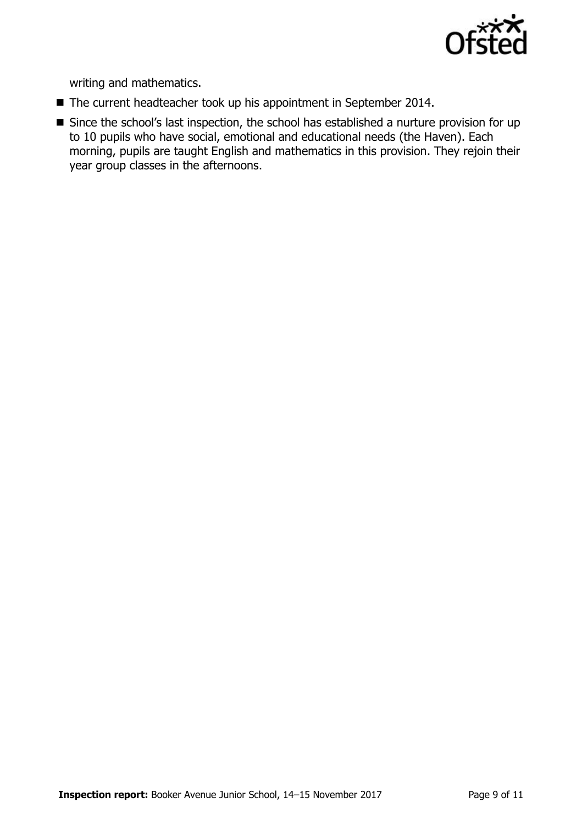

writing and mathematics.

- The current headteacher took up his appointment in September 2014.
- Since the school's last inspection, the school has established a nurture provision for up to 10 pupils who have social, emotional and educational needs (the Haven). Each morning, pupils are taught English and mathematics in this provision. They rejoin their year group classes in the afternoons.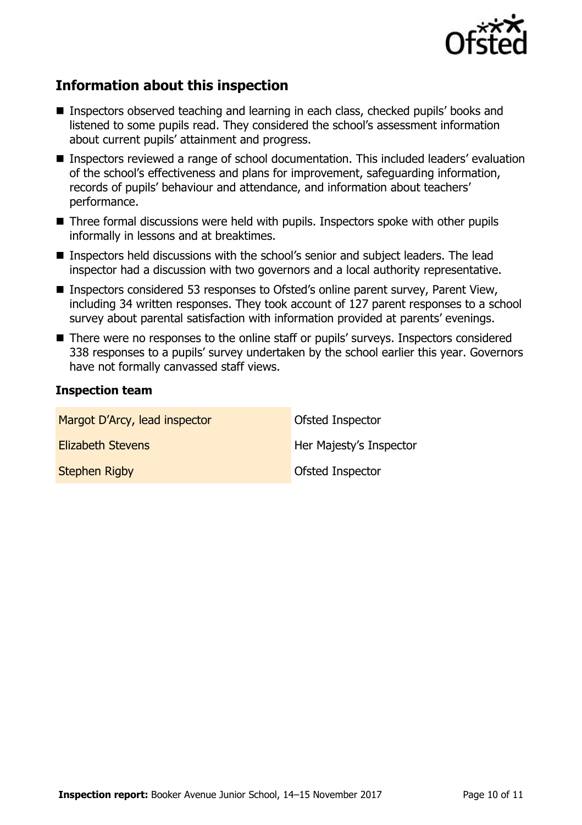

## **Information about this inspection**

- Inspectors observed teaching and learning in each class, checked pupils' books and listened to some pupils read. They considered the school's assessment information about current pupils' attainment and progress.
- Inspectors reviewed a range of school documentation. This included leaders' evaluation of the school's effectiveness and plans for improvement, safeguarding information, records of pupils' behaviour and attendance, and information about teachers' performance.
- Three formal discussions were held with pupils. Inspectors spoke with other pupils informally in lessons and at breaktimes.
- Inspectors held discussions with the school's senior and subject leaders. The lead inspector had a discussion with two governors and a local authority representative.
- Inspectors considered 53 responses to Ofsted's online parent survey, Parent View, including 34 written responses. They took account of 127 parent responses to a school survey about parental satisfaction with information provided at parents' evenings.
- There were no responses to the online staff or pupils' surveys. Inspectors considered 338 responses to a pupils' survey undertaken by the school earlier this year. Governors have not formally canvassed staff views.

#### **Inspection team**

| Margot D'Arcy, lead inspector | Ofsted Inspector        |
|-------------------------------|-------------------------|
| <b>Elizabeth Stevens</b>      | Her Majesty's Inspector |
| <b>Stephen Rigby</b>          | Ofsted Inspector        |